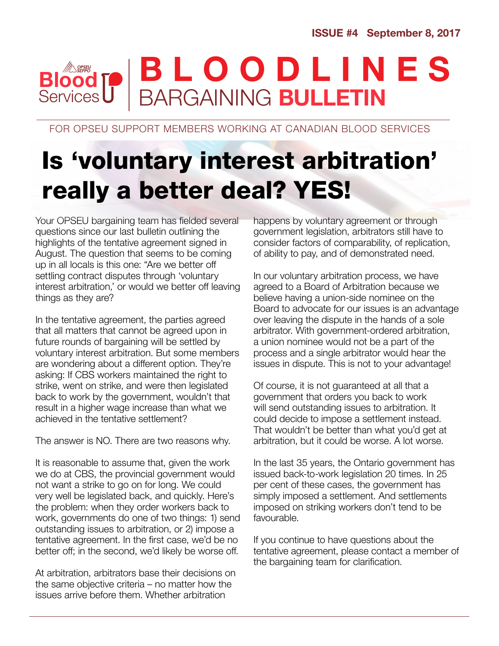#### BARGAINING BULLETIN **Blood Services** BLOODLINES

FOR OPSEU SUPPORT MEMBERS WORKING AT CANADIAN BLOOD SERVICES

## Is 'voluntary interest arbitration' really a better deal? YES!

Your OPSEU bargaining team has fielded several questions since our last bulletin outlining the highlights of the tentative agreement signed in August. The question that seems to be coming up in all locals is this one: "Are we better off settling contract disputes through 'voluntary interest arbitration,' or would we better off leaving things as they are?

In the tentative agreement, the parties agreed that all matters that cannot be agreed upon in future rounds of bargaining will be settled by voluntary interest arbitration. But some members are wondering about a different option. They're asking: If CBS workers maintained the right to strike, went on strike, and were then legislated back to work by the government, wouldn't that result in a higher wage increase than what we achieved in the tentative settlement?

The answer is NO. There are two reasons why.

It is reasonable to assume that, given the work we do at CBS, the provincial government would not want a strike to go on for long. We could very well be legislated back, and quickly. Here's the problem: when they order workers back to work, governments do one of two things: 1) send outstanding issues to arbitration, or 2) impose a tentative agreement. In the first case, we'd be no better off; in the second, we'd likely be worse off.

At arbitration, arbitrators base their decisions on the same objective criteria – no matter how the issues arrive before them. Whether arbitration

happens by voluntary agreement or through government legislation, arbitrators still have to consider factors of comparability, of replication, of ability to pay, and of demonstrated need.

In our voluntary arbitration process, we have agreed to a Board of Arbitration because we believe having a union-side nominee on the Board to advocate for our issues is an advantage over leaving the dispute in the hands of a sole arbitrator. With government-ordered arbitration, a union nominee would not be a part of the process and a single arbitrator would hear the issues in dispute. This is not to your advantage!

Of course, it is not guaranteed at all that a government that orders you back to work will send outstanding issues to arbitration. It could decide to impose a settlement instead. That wouldn't be better than what you'd get at arbitration, but it could be worse. A lot worse.

In the last 35 years, the Ontario government has issued back-to-work legislation 20 times. In 25 per cent of these cases, the government has simply imposed a settlement. And settlements imposed on striking workers don't tend to be favourable.

If you continue to have questions about the tentative agreement, please contact a member of the bargaining team for clarification.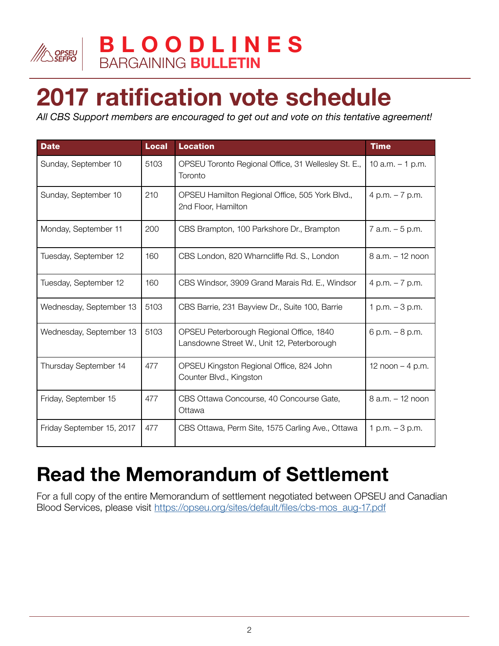

# 2017 ratification vote schedule

*All CBS Support members are encouraged to get out and vote on this tentative agreement!*

| <b>Date</b>               | <b>Local</b> | <b>Location</b>                                                                        | <b>Time</b>         |
|---------------------------|--------------|----------------------------------------------------------------------------------------|---------------------|
| Sunday, September 10      | 5103         | OPSEU Toronto Regional Office, 31 Wellesley St. E.,<br>Toronto                         | 10 a.m. $-1$ p.m.   |
| Sunday, September 10      | 210          | OPSEU Hamilton Regional Office, 505 York Blvd.,<br>2nd Floor, Hamilton                 | 4 p.m. $-7$ p.m.    |
| Monday, September 11      | 200          | CBS Brampton, 100 Parkshore Dr., Brampton                                              | $7$ a.m. $-5$ p.m.  |
| Tuesday, September 12     | 160          | CBS London, 820 Wharncliffe Rd. S., London                                             | $8$ a.m. $-12$ noon |
| Tuesday, September 12     | 160          | CBS Windsor, 3909 Grand Marais Rd. E., Windsor                                         | 4 p.m. $-7$ p.m.    |
| Wednesday, September 13   | 5103         | CBS Barrie, 231 Bayview Dr., Suite 100, Barrie                                         | 1 p.m. $-3$ p.m.    |
| Wednesday, September 13   | 5103         | OPSEU Peterborough Regional Office, 1840<br>Lansdowne Street W., Unit 12, Peterborough | 6 p.m. $-8$ p.m.    |
| Thursday September 14     | 477          | OPSEU Kingston Regional Office, 824 John<br>Counter Blvd., Kingston                    | 12 noon $-$ 4 p.m.  |
| Friday, September 15      | 477          | CBS Ottawa Concourse, 40 Concourse Gate,<br>Ottawa                                     | 8 a.m. - 12 noon    |
| Friday September 15, 2017 | 477          | CBS Ottawa, Perm Site, 1575 Carling Ave., Ottawa                                       | 1 p.m. $-3$ p.m.    |

### Read the Memorandum of Settlement

For a full copy of the entire Memorandum of settlement negotiated between OPSE[U](https://opseu.org/sites/default/files/cbs-mos_aug-17.pdf) and Canadian Blood Services, please visit [https://opseu.org/sites/default/files/cbs-mos\\_aug-17.pdf](https://opseu.org/sites/default/files/cbs-mos_aug-17.pdf)